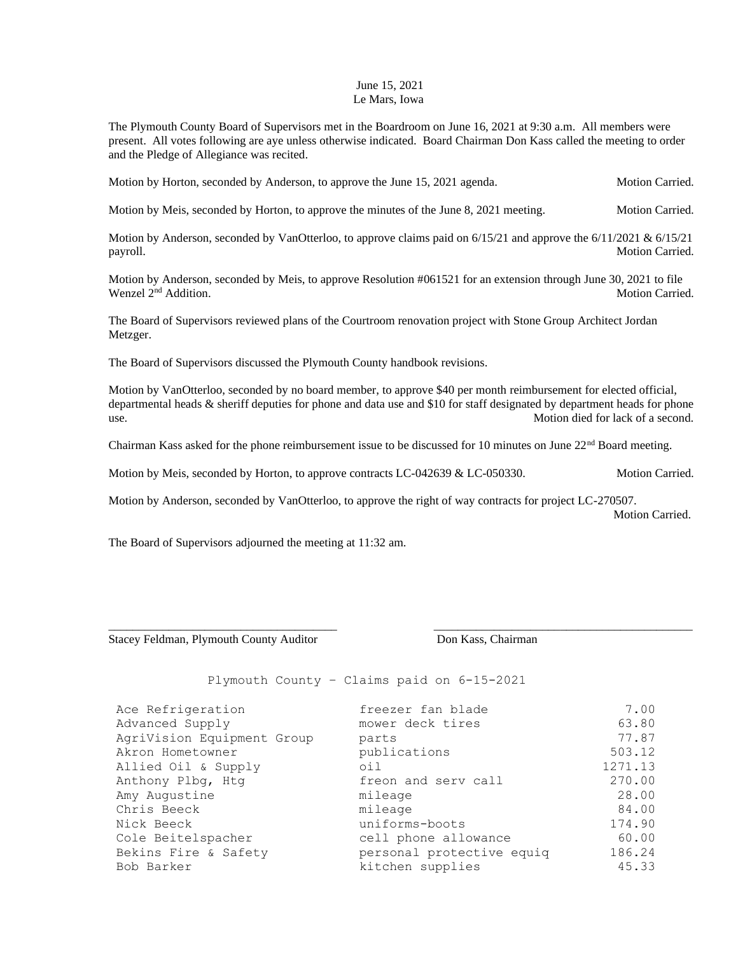## June 15, 2021 Le Mars, Iowa

The Plymouth County Board of Supervisors met in the Boardroom on June 16, 2021 at 9:30 a.m. All members were present. All votes following are aye unless otherwise indicated. Board Chairman Don Kass called the meeting to order and the Pledge of Allegiance was recited.

Motion by Horton, seconded by Anderson, to approve the June 15, 2021 agenda. Motion Carried.

Motion by Meis, seconded by Horton, to approve the minutes of the June 8, 2021 meeting. Motion Carried.

Motion by Anderson, seconded by VanOtterloo, to approve claims paid on  $6/15/21$  and approve the  $6/11/2021$  &  $6/15/21$ payroll. Motion Carried.

Motion by Anderson, seconded by Meis, to approve Resolution #061521 for an extension through June 30, 2021 to file Wenzel 2<sup>nd</sup> Addition. Motion Carried.

The Board of Supervisors reviewed plans of the Courtroom renovation project with Stone Group Architect Jordan Metzger.

The Board of Supervisors discussed the Plymouth County handbook revisions.

Motion by VanOtterloo, seconded by no board member, to approve \$40 per month reimbursement for elected official, departmental heads & sheriff deputies for phone and data use and \$10 for staff designated by department heads for phone use. Motion died for lack of a second.

Chairman Kass asked for the phone reimbursement issue to be discussed for 10 minutes on June 22<sup>nd</sup> Board meeting.

Motion by Meis, seconded by Horton, to approve contracts LC-042639 & LC-050330. Motion Carried.

Motion by Anderson, seconded by VanOtterloo, to approve the right of way contracts for project LC-270507.

\_\_\_\_\_\_\_\_\_\_\_\_\_\_\_\_\_\_\_\_\_\_\_\_\_\_\_\_\_\_\_\_\_\_\_\_\_\_ \_\_\_\_\_\_\_\_\_\_\_\_\_\_\_\_\_\_\_\_\_\_\_\_\_\_\_\_\_\_\_\_\_\_\_\_\_\_\_\_\_\_\_

Motion Carried.

The Board of Supervisors adjourned the meeting at 11:32 am.

Stacey Feldman, Plymouth County Auditor **Don Kass, Chairman** 

Plymouth County – Claims paid on 6-15-2021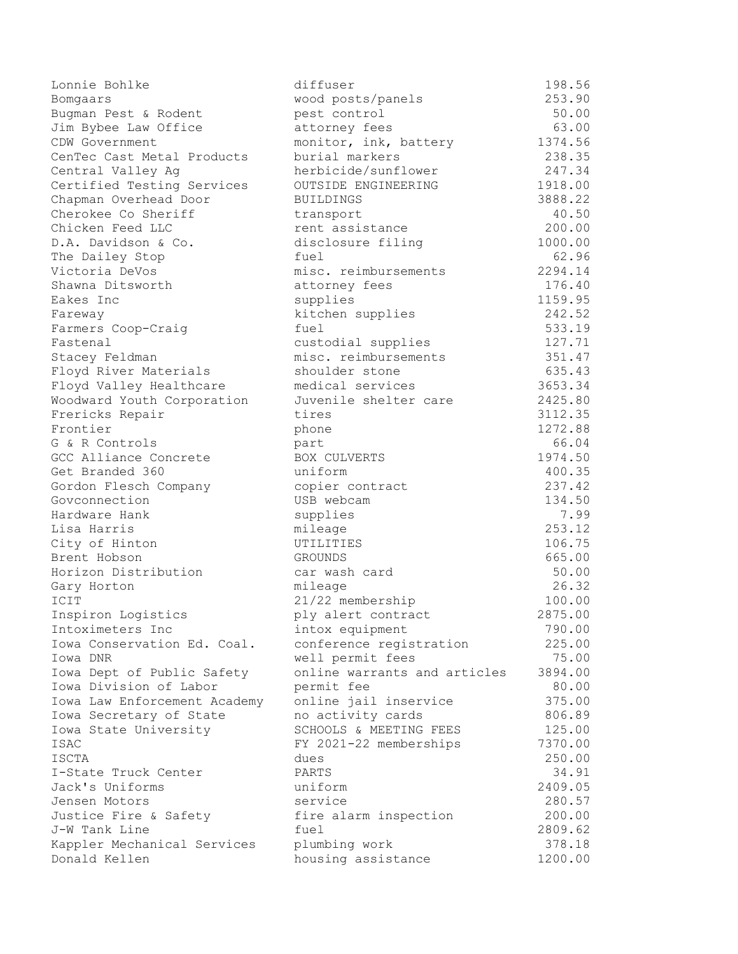| Lonnie Bohlke                | diffuser                     | 198.56  |
|------------------------------|------------------------------|---------|
| Bomgaars                     | wood posts/panels            | 253.90  |
| Bugman Pest & Rodent         | pest control                 | 50.00   |
| Jim Bybee Law Office         | attorney fees                | 63.00   |
| CDW Government               | monitor, ink, battery        | 1374.56 |
| CenTec Cast Metal Products   | burial markers               | 238.35  |
| Central Valley Ag            | herbicide/sunflower          | 247.34  |
| Certified Testing Services   | OUTSIDE ENGINEERING          | 1918.00 |
| Chapman Overhead Door        | <b>BUILDINGS</b>             | 3888.22 |
| Cherokee Co Sheriff          | transport                    | 40.50   |
| Chicken Feed LLC             | rent assistance              | 200.00  |
| D.A. Davidson & Co.          | disclosure filing            | 1000.00 |
| The Dailey Stop              | fuel                         | 62.96   |
| Victoria DeVos               | misc. reimbursements         | 2294.14 |
| Shawna Ditsworth             | attorney fees                | 176.40  |
| Eakes Inc                    | supplies                     | 1159.95 |
| Fareway                      | kitchen supplies             | 242.52  |
| Farmers Coop-Craig           | fuel                         | 533.19  |
| Fastenal                     | custodial supplies           | 127.71  |
| Stacey Feldman               | misc. reimbursements         | 351.47  |
| Floyd River Materials        | shoulder stone               | 635.43  |
| Floyd Valley Healthcare      | medical services             | 3653.34 |
| Woodward Youth Corporation   | Juvenile shelter care        | 2425.80 |
| Frericks Repair              | tires                        | 3112.35 |
| Frontier                     | phone                        | 1272.88 |
| G & R Controls               | part                         | 66.04   |
| GCC Alliance Concrete        | BOX CULVERTS                 | 1974.50 |
| Get Branded 360              | uniform                      | 400.35  |
| Gordon Flesch Company        | copier contract              | 237.42  |
| Govconnection                | USB webcam                   | 134.50  |
| Hardware Hank                | supplies                     | 7.99    |
| Lisa Harris                  | mileage                      | 253.12  |
| City of Hinton               | UTILITIES                    | 106.75  |
| Brent Hobson                 | <b>GROUNDS</b>               | 665.00  |
| Horizon Distribution         | car wash card                | 50.00   |
| Gary Horton                  | mileage                      | 26.32   |
| ICIT                         | 21/22 membership             | 100.00  |
| Inspiron Logistics           | ply alert contract           | 2875.00 |
| Intoximeters Inc             | intox equipment              | 790.00  |
| Iowa Conservation Ed. Coal.  | conference registration      | 225.00  |
| Iowa DNR                     | well permit fees             | 75.00   |
| Iowa Dept of Public Safety   | online warrants and articles | 3894.00 |
| Iowa Division of Labor       | permit fee                   | 80.00   |
| Iowa Law Enforcement Academy | online jail inservice        | 375.00  |
| Iowa Secretary of State      | no activity cards            | 806.89  |
| Iowa State University        | SCHOOLS & MEETING FEES       | 125.00  |
| ISAC                         | FY 2021-22 memberships       | 7370.00 |
| ISCTA                        | dues                         | 250.00  |
| I-State Truck Center         | PARTS                        | 34.91   |
| Jack's Uniforms              | uniform                      | 2409.05 |
| Jensen Motors                | service                      | 280.57  |
| Justice Fire & Safety        | fire alarm inspection        | 200.00  |
| J-W Tank Line                | fuel                         | 2809.62 |
| Kappler Mechanical Services  | plumbing work                | 378.18  |
| Donald Kellen                | housing assistance           | 1200.00 |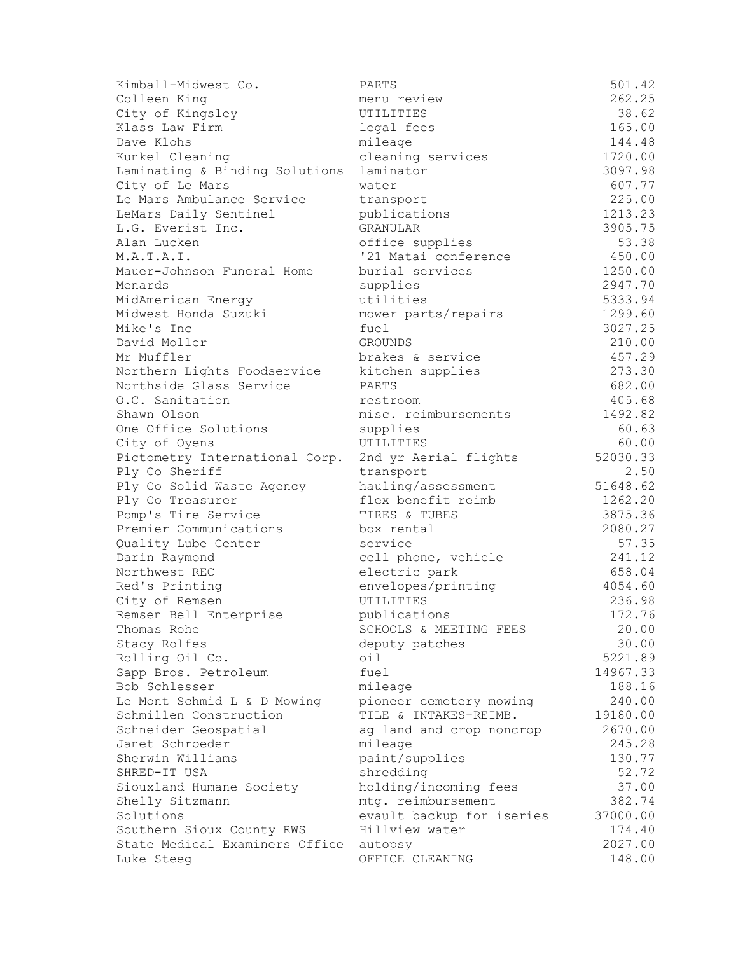| Kimball-Midwest Co.            | PARTS                     | 501.42            |
|--------------------------------|---------------------------|-------------------|
| Colleen King                   | menu review               | 262.25            |
| City of Kingsley               | UTILITIES                 | 38.62             |
| Klass Law Firm                 | legal fees                | 165.00            |
| Dave Klohs                     | mileage                   | 144.48            |
| Kunkel Cleaning                | cleaning services         | 1720.00           |
| Laminating & Binding Solutions | laminator                 | 3097.98           |
| City of Le Mars                | water                     | 607.77            |
| Le Mars Ambulance Service      | transport                 | 225.00            |
| LeMars Daily Sentinel          | publications              | 1213.23           |
| L.G. Everist Inc.              | GRANULAR                  | 3905.75           |
| Alan Lucken                    | office supplies           | 53.38             |
| M.A.T.A.I.                     | '21 Matai conference      | 450.00            |
| Mauer-Johnson Funeral Home     | burial services           | 1250.00           |
| Menards                        | supplies                  | 2947.70           |
| MidAmerican Energy             | utilities                 | 5333.94           |
| Midwest Honda Suzuki           | mower parts/repairs       | 1299.60           |
| Mike's Inc                     | fuel                      | 3027.25           |
| David Moller                   | <b>GROUNDS</b>            | 210.00            |
| Mr Muffler                     | brakes & service          | 457.29            |
| Northern Lights Foodservice    | kitchen supplies          | 273.30            |
| Northside Glass Service        | PARTS                     | 682.00            |
| O.C. Sanitation                | restroom                  | 405.68            |
| Shawn Olson                    | misc. reimbursements      | 1492.82           |
| One Office Solutions           | supplies                  | 60.63             |
| City of Oyens                  | UTILITIES                 | 60.00             |
| Pictometry International Corp. | 2nd yr Aerial flights     | 52030.33          |
| Ply Co Sheriff                 | transport                 | 2.50              |
| Ply Co Solid Waste Agency      | hauling/assessment        | 51648.62          |
| Ply Co Treasurer               | flex benefit reimb        | 1262.20           |
| Pomp's Tire Service            | TIRES & TUBES             | 3875.36           |
| Premier Communications         | box rental                | 2080.27           |
| Quality Lube Center            | service                   | 57.35             |
| Darin Raymond                  | cell phone, vehicle       | 241.12            |
| Northwest REC                  | electric park             | 658.04            |
| Red's Printing                 | envelopes/printing        | 4054.60           |
| City of Remsen                 | UTILITIES                 | 236.98            |
| Remsen Bell Enterprise         | publications              | 172.76            |
| Thomas Rohe                    | SCHOOLS & MEETING FEES    | 20.00             |
| Stacy Rolfes                   | deputy patches            | 30.00             |
| Rolling Oil Co.                | oil                       | 5221.89           |
| Sapp Bros. Petroleum           | fuel                      | 14967.33          |
| Bob Schlesser                  | mileage                   | 188.16            |
| Le Mont Schmid L & D Mowing    | pioneer cemetery mowing   | 240.00            |
| Schmillen Construction         | TILE & INTAKES-REIMB.     | 19180.00          |
| Schneider Geospatial           | ag land and crop noncrop  |                   |
| Janet Schroeder                |                           | 2670.00<br>245.28 |
| Sherwin Williams               | mileage<br>paint/supplies | 130.77            |
| SHRED-IT USA                   | shredding                 | 52.72             |
|                                |                           |                   |
| Siouxland Humane Society       | holding/incoming fees     | 37.00<br>382.74   |
| Shelly Sitzmann<br>Solutions   | mtg. reimbursement        |                   |
|                                | evault backup for iseries | 37000.00          |
| Southern Sioux County RWS      | Hillview water            | 174.40<br>2027.00 |
| State Medical Examiners Office | autopsy                   |                   |
| Luke Steeg                     | OFFICE CLEANING           | 148.00            |